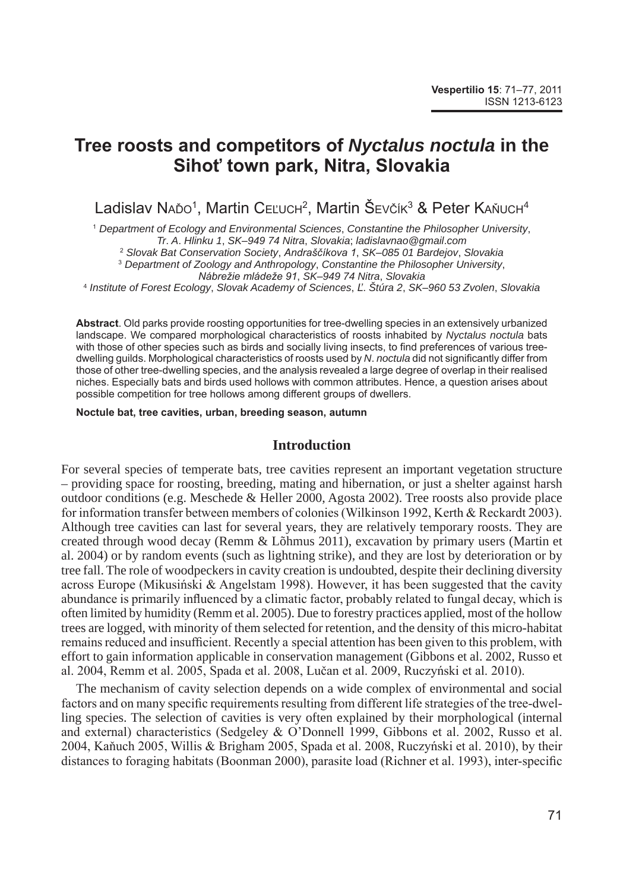# **Tree roosts and competitors of** *Nyctalus noctula* **in the Sihoť town park, Nitra, Slovakia**

Ladislav Naŏo<sup>1</sup>, Martin C $\epsilon$ Ľuch $^2$ , Martin S $\epsilon$ včík $^3$  & Peter Kaňuch $^4$ 

<sup>1</sup> *Department of Ecology and Environmental Sciences*, *Constantine the Philosopher University*, *Tr*. *A*. *Hlinku 1*, *SK*–*949 74 Nitra*, *Slovakia*; *ladislavnao@gmail*.*com*

<sup>2</sup> *Slovak Bat Conservation Society*, *Andraščíkova 1*, *SK*–*085 01 Bardejov*, *Slovakia*

<sup>3</sup> *Department of Zoology and Anthropology*, *Constantine the Philosopher University*,

*Nábrežie mládeže 91*, *SK*–*949 74 Nitra*, *Slovakia*

<sup>4</sup> *Institute of Forest Ecology*, *Slovak Academy of Sciences*, *Ľ*. *Štúra 2*, *SK*–*960 53 Zvolen*, *Slovakia*

**Abstract**. Old parks provide roosting opportunities for tree-dwelling species in an extensively urbanized landscape. We compared morphological characteristics of roosts inhabited by *Nyctalus noctula* bats with those of other species such as birds and socially living insects, to find preferences of various treedwelling guilds. Morphological characteristics of roosts used by *N*. *noctula* did not significantly differ from those of other tree-dwelling species, and the analysis revealed a large degree of overlap in their realised niches. Especially bats and birds used hollows with common attributes. Hence, a question arises about possible competition for tree hollows among different groups of dwellers.

**Noctule bat, tree cavities, urban, breeding season, autumn**

## **Introduction**

For several species of temperate bats, tree cavities represent an important vegetation structure – providing space for roosting, breeding, mating and hibernation, or just a shelter against harsh outdoor conditions (e.g. Meschede & Heller 2000, Agosta 2002). Tree roosts also provide place for information transfer between members of colonies (Wilkinson 1992, Kerth & Reckardt 2003). Although tree cavities can last for several years, they are relatively temporary roosts. They are created through wood decay (Remm & Lõhmus 2011), excavation by primary users (Martin et al. 2004) or by random events (such as lightning strike), and they are lost by deterioration or by tree fall. The role of woodpeckers in cavity creation is undoubted, despite their declining diversity across Europe (Mikusiński & Angelstam 1998). However, it has been suggested that the cavity abundance is primarily influenced by a climatic factor, probably related to fungal decay, which is often limited by humidity (Remm et al. 2005). Due to forestry practices applied, most of the hollow trees are logged, with minority of them selected for retention, and the density of this micro-habitat remains reduced and insufficient. Recently a special attention has been given to this problem, with effort to gain information applicable in conservation management (Gibbons et al. 2002, Russo et al. 2004, Remm et al. 2005, Spada et al. 2008, Lučan et al. 2009, Ruczyński et al. 2010).

The mechanism of cavity selection depends on a wide complex of environmental and social factors and on many specific requirements resulting from different life strategies of the tree-dwelling species. The selection of cavities is very often explained by their morphological (internal and external) characteristics (Sedgeley & O'Donnell 1999, Gibbons et al. 2002, Russo et al. 2004, Kaňuch 2005, Willis & Brigham 2005, Spada et al. 2008, Ruczyński et al. 2010), by their distances to foraging habitats (Boonman 2000), parasite load (Richner et al. 1993), inter-specific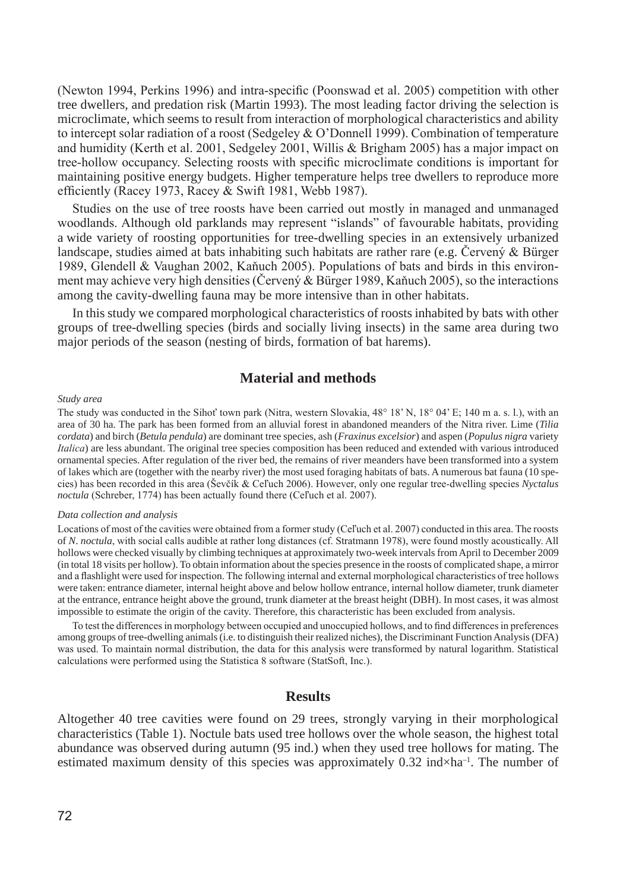(Newton 1994, Perkins 1996) and intra-specific (Poonswad et al. 2005) competition with other tree dwellers, and predation risk (Martin 1993). The most leading factor driving the selection is microclimate, which seems to result from interaction of morphological characteristics and ability to intercept solar radiation of a roost (Sedgeley & O'Donnell 1999). Combination of temperature and humidity (Kerth et al. 2001, Sedgeley 2001, Willis & Brigham 2005) has a major impact on tree-hollow occupancy. Selecting roosts with specific microclimate conditions is important for maintaining positive energy budgets. Higher temperature helps tree dwellers to reproduce more efficiently (Racey 1973, Racey & Swift 1981, Webb 1987).

Studies on the use of tree roosts have been carried out mostly in managed and unmanaged woodlands. Although old parklands may represent "islands" of favourable habitats, providing a wide variety of roosting opportunities for tree-dwelling species in an extensively urbanized landscape, studies aimed at bats inhabiting such habitats are rather rare (e.g. Červený & Bürger 1989, Glendell & Vaughan 2002, Kaňuch 2005). Populations of bats and birds in this environment may achieve very high densities (Červený & Bürger 1989, Kaňuch 2005), so the interactions among the cavity-dwelling fauna may be more intensive than in other habitats.

In this study we compared morphological characteristics of roosts inhabited by bats with other groups of tree-dwelling species (birds and socially living insects) in the same area during two major periods of the season (nesting of birds, formation of bat harems).

# **Material and methods**

#### *Study area*

The study was conducted in the Sihoť town park (Nitra, western Slovakia, 48° 18' N, 18° 04' E; 140 m a. s. l.), with an area of 30 ha. The park has been formed from an alluvial forest in abandoned meanders of the Nitra river. Lime (*Tilia cordata*) and birch (*Betula pendula*) are dominant tree species, ash (*Fraxinus excelsior*) and aspen (*Populus nigra* variety *Italica*) are less abundant. The original tree species composition has been reduced and extended with various introduced ornamental species. After regulation of the river bed, the remains of river meanders have been transformed into a system of lakes which are (together with the nearby river) the most used foraging habitats of bats. A numerous bat fauna (10 species) has been recorded in this area (Ševčík & Ceľuch 2006). However, only one regular tree-dwelling species *Nyctalus noctula* (Schreber, 1774) has been actually found there (Ceľuch et al. 2007).

#### *Data collection and analysis*

Locations of most of the cavities were obtained from a former study (Cel'uch et al. 2007) conducted in this area. The roosts of *N*. *noctula*, with social calls audible at rather long distances (cf. Stratmann 1978), were found mostly acoustically. All hollows were checked visually by climbing techniques at approximately two-week intervals from April to December 2009 (in total 18 visits per hollow). To obtain information about the species presence in the roosts of complicated shape, a mirror and a flashlight were used for inspection. The following internal and external morphological characteristics of tree hollows were taken: entrance diameter, internal height above and below hollow entrance, internal hollow diameter, trunk diameter at the entrance, entrance height above the ground, trunk diameter at the breast height (DBH). In most cases, it was almost impossible to estimate the origin of the cavity. Therefore, this characteristic has been excluded from analysis.

To test the differences in morphology between occupied and unoccupied hollows, and to find differences in preferences among groups of tree-dwelling animals (i.e. to distinguish their realized niches), the Discriminant Function Analysis (DFA) was used. To maintain normal distribution, the data for this analysis were transformed by natural logarithm. Statistical calculations were performed using the Statistica 8 software (StatSoft, Inc.).

### **Results**

Altogether 40 tree cavities were found on 29 trees, strongly varying in their morphological characteristics (Table 1). Noctule bats used tree hollows over the whole season, the highest total abundance was observed during autumn (95 ind.) when they used tree hollows for mating. The estimated maximum density of this species was approximately  $0.32$  ind×ha<sup>-1</sup>. The number of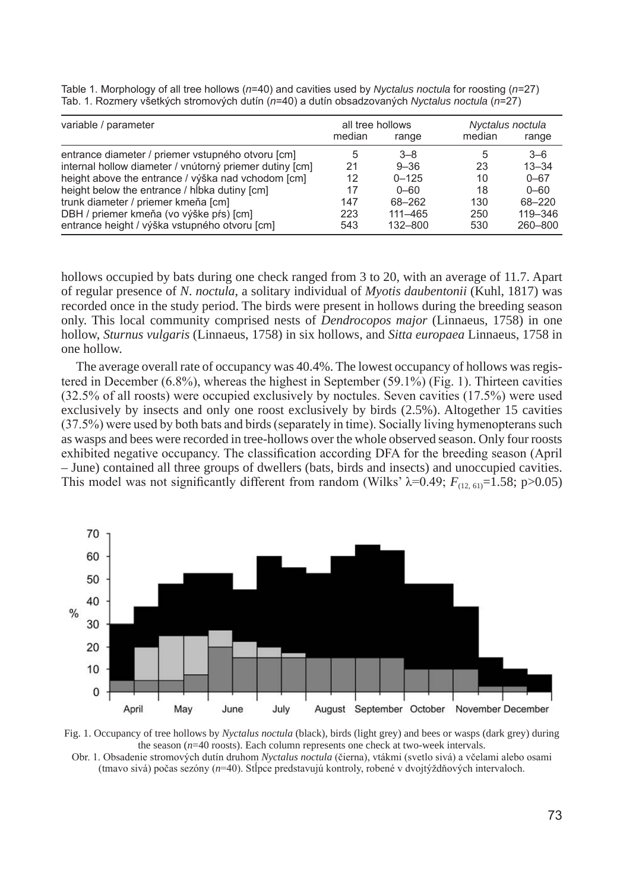| variable / parameter                                    | all tree hollows |             | Nyctalus noctula |           |
|---------------------------------------------------------|------------------|-------------|------------------|-----------|
|                                                         | median           | range       | median           | range     |
| entrance diameter / priemer vstupného otvoru [cm]       | 5                | $3 - 8$     | 5                | $3 - 6$   |
| internal hollow diameter / vnútorný priemer dutiny [cm] | 21               | $9 - 36$    | 23               | $13 - 34$ |
| height above the entrance / výška nad vchodom [cm]      | 12               | $0 - 125$   | 10               | $0 - 67$  |
| height below the entrance / hibka dutiny [cm]           | 17               | $0 - 60$    | 18               | $0 - 60$  |
| trunk diameter / priemer kmeňa [cm]                     | 147              | 68-262      | 130              | 68-220    |
| DBH / priemer kmeňa (vo výške pŕs) [cm]                 | 223              | $111 - 465$ | 250              | 119-346   |
| entrance height / výška vstupného otvoru [cm]           | 543              | 132-800     | 530              | 260-800   |

Table 1. Morphology of all tree hollows (*n*=40) and cavities used by *Nyctalus noctula* for roosting (*n*=27) Tab. 1. Rozmery všetkých stromových dutín (*n*=40) a dutín obsadzovaných *Nyctalus noctula* (*n*=27)

hollows occupied by bats during one check ranged from 3 to 20, with an average of 11.7. Apart of regular presence of *N*. *noctula*, a solitary individual of *Myotis daubentonii* (Kuhl, 1817) was recorded once in the study period. The birds were present in hollows during the breeding season only. This local community comprised nests of *Dendrocopos major* (Linnaeus, 1758) in one hollow, *Sturnus vulgaris* (Linnaeus, 1758) in six hollows, and *Sitta europaea* Linnaeus, 1758 in one hollow.

The average overall rate of occupancy was 40.4%. The lowest occupancy of hollows was registered in December (6.8%), whereas the highest in September (59.1%) (Fig. 1). Thirteen cavities (32.5% of all roosts) were occupied exclusively by noctules. Seven cavities (17.5%) were used exclusively by insects and only one roost exclusively by birds (2.5%). Altogether 15 cavities (37.5%) were used by both bats and birds (separately in time). Socially living hymenopterans such as wasps and bees were recorded in tree-hollows over the whole observed season. Only four roosts exhibited negative occupancy. The classification according DFA for the breeding season (April – June) contained all three groups of dwellers (bats, birds and insects) and unoccupied cavities. This model was not significantly different from random (Wilks'  $\lambda$ =0.49;  $F_{(12, 61)}$ =1.58; p>0.05)



Fig. 1. Occupancy of tree hollows by *Nyctalus noctula* (black), birds (light grey) and bees or wasps (dark grey) during the season (*n*=40 roosts). Each column represents one check at two-week intervals.

Obr. 1. Obsadenie stromových dutín druhom *Nyctalus noctula* (čierna), vtákmi (svetlo sivá) a včelami alebo osami (tmavo sivá) počas sezóny (*n*=40). Stĺpce predstavujú kontroly, robené v dvojtýždňových intervaloch.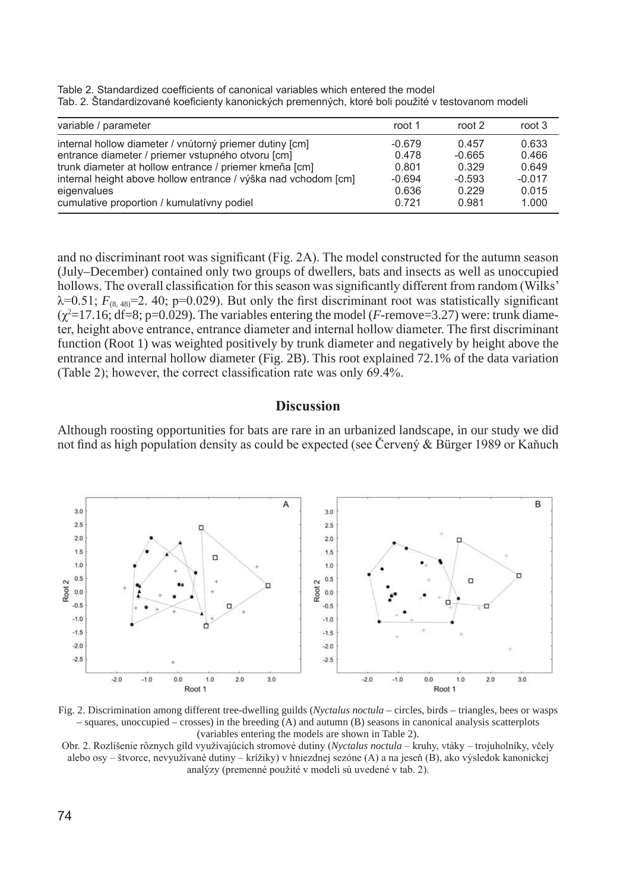Table 2. Standardized coefficients of canonical variables which entered the model Tab. 2. Štandardizované koeficienty kanonických premenných, ktoré boli použité v testovanom modeli

| variable / parameter                                           | root 1   | root 2   | root 3   |
|----------------------------------------------------------------|----------|----------|----------|
| internal hollow diameter / vnútorný priemer dutiny [cm]        | $-0.679$ | 0.457    | 0.633    |
| entrance diameter / priemer vstupného otvoru [cm]              | 0.478    | $-0.665$ | 0.466    |
| trunk diameter at hollow entrance / priemer kmeňa [cm]         | 0.801    | 0.329    | 0.649    |
| internal height above hollow entrance / výška nad vchodom [cm] | $-0.694$ | $-0.593$ | $-0.017$ |
| eigenvalues                                                    | 0.636    | 0.229    | 0.015    |
| cumulative proportion / kumulativny podiel                     | 0.721    | 0.981    | 1.000    |

and no discriminant root was significant (Fig. 2A). The model constructed for the autumn season (July–December) contained only two groups of dwellers, bats and insects as well as unoccupied hollows. The overall classification for this season was significantly different from random (Wilks'  $\lambda$ =0.51;  $F_{(8,48)}$ =2. 40; p=0.029). But only the first discriminant root was statistically significant  $(\chi^2=17.16; df=8; p=0.029)$ . The variables entering the model (*F*-remove=3.27) were: trunk diameter, height above entrance, entrance diameter and internal hollow diameter. The first discriminant function (Root 1) was weighted positively by trunk diameter and negatively by height above the entrance and internal hollow diameter (Fig. 2B). This root explained 72.1% of the data variation (Table 2); however, the correct classification rate was only 69.4%.

## **Discussion**

Although roosting opportunities for bats are rare in an urbanized landscape, in our study we did not find as high population density as could be expected (see Červený & Bürger 1989 or Kaňuch



Fig. 2. Discrimination among different tree-dwelling guilds (*Nyctalus noctula* – circles, birds – triangles, bees or wasps – squares, unoccupied – crosses) in the breeding (A) and autumn (B) seasons in canonical analysis scatterplots (variables entering the models are shown in Table 2).

Obr. 2. Rozlíšenie rôznych gíld využívajúcich stromové dutiny (*Nyctalus noctula* – kruhy, vtáky – trojuholníky, včely alebo osy – štvorce, nevyužívané dutiny – krížiky) v hniezdnej sezóne (A) a na jeseň (B), ako výsledok kanonickej analýzy (premenné použité v modeli sú uvedené v tab. 2).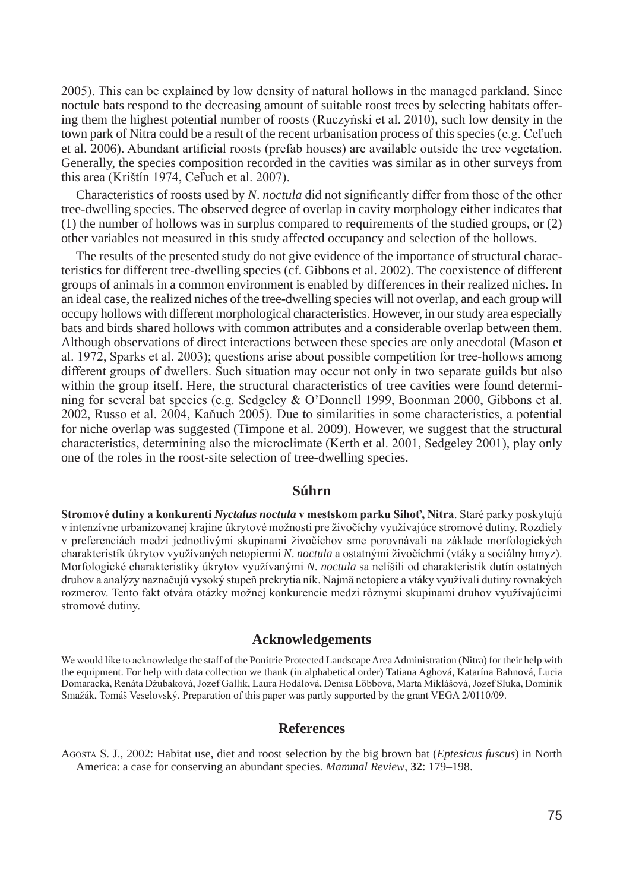2005). This can be explained by low density of natural hollows in the managed parkland. Since noctule bats respond to the decreasing amount of suitable roost trees by selecting habitats offering them the highest potential number of roosts (Ruczyński et al. 2010), such low density in the town park of Nitra could be a result of the recent urbanisation process of this species (e.g. Ceľuch et al. 2006). Abundant artificial roosts (prefab houses) are available outside the tree vegetation. Generally, the species composition recorded in the cavities was similar as in other surveys from this area (Krištín 1974, Ceľuch et al. 2007).

Characteristics of roosts used by *N*. *noctula* did not significantly differ from those of the other tree-dwelling species. The observed degree of overlap in cavity morphology either indicates that (1) the number of hollows was in surplus compared to requirements of the studied groups, or (2) other variables not measured in this study affected occupancy and selection of the hollows.

The results of the presented study do not give evidence of the importance of structural characteristics for different tree-dwelling species (cf. Gibbons et al. 2002). The coexistence of different groups of animals in a common environment is enabled by differences in their realized niches. In an ideal case, the realized niches of the tree-dwelling species will not overlap, and each group will occupy hollows with different morphological characteristics. However, in our study area especially bats and birds shared hollows with common attributes and a considerable overlap between them. Although observations of direct interactions between these species are only anecdotal (Mason et al. 1972, Sparks et al. 2003); questions arise about possible competition for tree-hollows among different groups of dwellers. Such situation may occur not only in two separate guilds but also within the group itself. Here, the structural characteristics of tree cavities were found determining for several bat species (e.g. Sedgeley & O'Donnell 1999, Boonman 2000, Gibbons et al. 2002, Russo et al. 2004, Kaňuch 2005). Due to similarities in some characteristics, a potential for niche overlap was suggested (Timpone et al. 2009). However, we suggest that the structural characteristics, determining also the microclimate (Kerth et al. 2001, Sedgeley 2001), play only one of the roles in the roost-site selection of tree-dwelling species.

# **Súhrn**

**Stromové dutiny a konkurenti** *Nyctalus noctula* **v mestskom parku Sihoť, Nitra**. Staré parky poskytujú v intenzívne urbanizovanej krajine úkrytové možnosti pre živočíchy využívajúce stromové dutiny. Rozdiely v preferenciách medzi jednotlivými skupinami živočíchov sme porovnávali na základe morfologických charakteristík úkrytov využívaných netopiermi *N*. *noctula* a ostatnými živočíchmi (vtáky a sociálny hmyz). Morfologické charakteristiky úkrytov využívanými *N*. *noctula* sa nelíšili od charakteristík dutín ostatných druhov a analýzy naznačujú vysoký stupeň prekrytia ník. Najmä netopiere a vtáky využívali dutiny rovnakých rozmerov. Tento fakt otvára otázky možnej konkurencie medzi rôznymi skupinami druhov využívajúcimi stromové dutiny.

#### **Acknowledgements**

We would like to acknowledge the staff of the Ponitrie Protected Landscape Area Administration (Nitra) for their help with the equipment. For help with data collection we thank (in alphabetical order) Tatiana Aghová, Katarína Bahnová, Lucia Domaracká, Renáta Džubáková, Jozef Gallik, Laura Hodálová, Denisa Löbbová, Marta Miklášová, Jozef Sluka, Dominik Smažák, Tomáš Veselovský. Preparation of this paper was partly supported by the grant VEGA 2/0110/09.

#### **References**

AgostA s. J., 2002: Habitat use, diet and roost selection by the big brown bat (*Eptesicus fuscus*) in North America: a case for conserving an abundant species. *Mammal Review*, **32**: 179–198.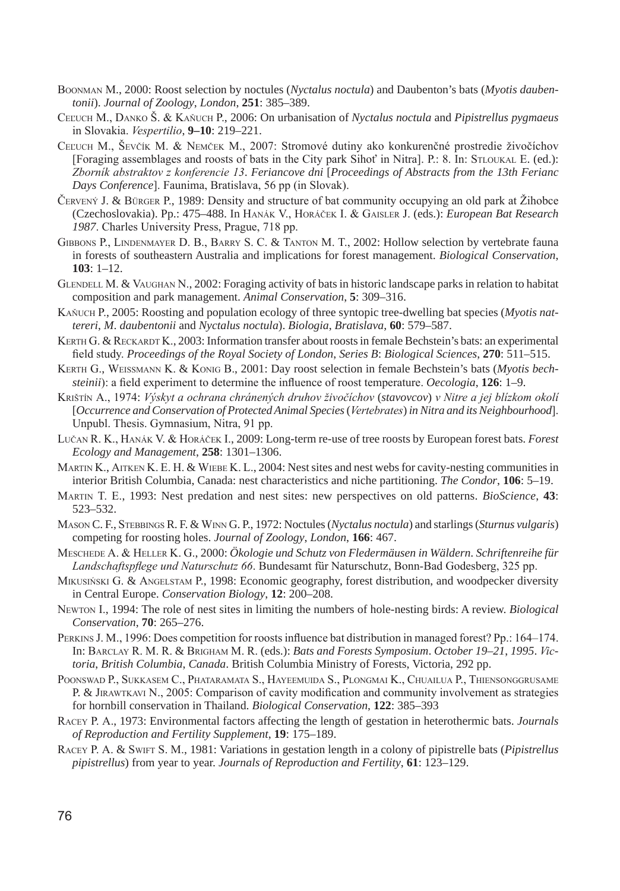- boonMAn M., 2000: Roost selection by noctules (*Nyctalus noctula*) and Daubenton's bats (*Myotis daubentonii*). *Journal of Zoology*, *London*, **251**: 385–389.
- ceľuch M., dAnKo Š. & Kaňuch P., 2006: On urbanisation of *Nyctalus noctula* and *Pipistrellus pygmaeus*  in Slovakia. *Vespertilio*, **9–10**: 219–221.
- ceľuch M., Ševčík M. & nemček M., 2007: Stromové dutiny ako konkurenčné prostredie živočíchov [Foraging assemblages and roosts of bats in the City park Sihot' in Nitra]. P.: 8. In: STLOUKAL E. (ed.): *Zborník abstraktov z konferencie 13*. *Feriancove dni* [*Proceedings of Abstracts from the 13th Ferianc Days Conference*]. Faunima, Bratislava, 56 pp (in Slovak).
- čeRvený J. & büRgeR P., 1989: Density and structure of bat community occupying an old park at Žihobce (Czechoslovakia). Pp.: 475–488. In hAnáK v., horáček i. & gAisleR J. (eds.): *European Bat Research 1987*. Charles University Press, Prague, 718 pp.
- GIBBONS P., LINDENMAYER D. B., BARRY S. C. & TANTON M. T., 2002: Hollow selection by vertebrate fauna in forests of southeastern Australia and implications for forest management. *Biological Conservation*, **103**: 1–12.
- GLENDELL M. & VAUGHAN N., 2002: Foraging activity of bats in historic landscape parks in relation to habitat composition and park management. *Animal Conservation*, **5**: 309–316.
- Kaňuch P., 2005: Roosting and population ecology of three syntopic tree-dwelling bat species (*Myotis nattereri*, *M*. *daubentonii* and *Nyctalus noctula*). *Biologia*, *Bratislava*, **60**: 579–587.
- KERTH G. & RECKARDT K., 2003: Information transfer about roosts in female Bechstein's bats: an experimental field study. *Proceedings of the Royal Society of London*, *Series B*: *Biological Sciences*, **270**: 511–515.
- KeRth g., WeissMAnn K. & Konig b., 2001: Day roost selection in female Bechstein's bats (*Myotis bechsteinii*): a field experiment to determine the influence of roost temperature. *Oecologia*, **126**: 1–9.
- Krištín A., 1974: *Výskyt a ochrana chránených druhov živočíchov* (*stavovcov*) *v Nitre a jej blízkom okolí* [*Occurrence and Conservation of Protected Animal Species* (*Vertebrates*) *in Nitra and its Neighbourhood*]. Unpubl. Thesis. Gymnasium, Nitra, 91 pp.
- lučan R. K., hAnáK v. & horáček i., 2009: Long-term re-use of tree roosts by European forest bats. *Forest Ecology and Management*, **258**: 1301–1306.
- MARTIN K., AITKEN K. E. H. & WIEBE K. L., 2004: Nest sites and nest webs for cavity-nesting communities in interior British Columbia, Canada: nest characteristics and niche partitioning. *The Condor*, **106**: 5–19.
- MARtin t. e., 1993: Nest predation and nest sites: new perspectives on old patterns. *BioScience*, **43**: 523–532.
- MAson C. F., stebbings R. F. & Winn G. P., 1972: Noctules (*Nyctalus noctula*) and starlings (*Sturnus vulgaris*) competing for roosting holes. *Journal of Zoology*, *London*, **166**: 467.
- Meschede A. & helleR K. g., 2000: *Ökologie und Schutz von Fledermäusen in Wäldern*. *Schriftenreihe für Landschaftspflege und Naturschutz 66*. Bundesamt für Naturschutz, Bonn-Bad Godesberg, 325 pp.
- MIKUSIŃSKI G. & ANGELSTAM P., 1998: Economic geography, forest distribution, and woodpecker diversity in Central Europe. *Conservation Biology*, **12**: 200–208.
- NEWTON I., 1994: The role of nest sites in limiting the numbers of hole-nesting birds: A review. *Biological Conservation*, **70**: 265–276.
- PeRKins J. M., 1996: Does competition for roosts influence bat distribution in managed forest? Pp.: 164–174. In: bARclAY R. M. R. & bRighAM M. R. (eds.): *Bats and Forests Symposium*. *October 19*–*21*, *1995*. *Victoria*, *British Columbia*, *Canada*. British Columbia Ministry of Forests, Victoria, 292 pp.
- POONSWAD P., SUKKASEM C., PHATARAMATA S., HAYEEMUIDA S., PLONGMAI K., CHUAILUA P., THIENSONGGRUSAME P. & JIRAWTKAVI N., 2005: Comparison of cavity modification and community involvement as strategies for hornbill conservation in Thailand. *Biological Conservation*, **122**: 385–393
- RAceY P. A., 1973: Environmental factors affecting the length of gestation in heterothermic bats. *Journals of Reproduction and Fertility Supplement*, **19**: 175–189.
- RACEY P. A. & SWIFT S. M., 1981: Variations in gestation length in a colony of pipistrelle bats (*Pipistrellus pipistrellus*) from year to year. *Journals of Reproduction and Fertility*, **61**: 123–129.